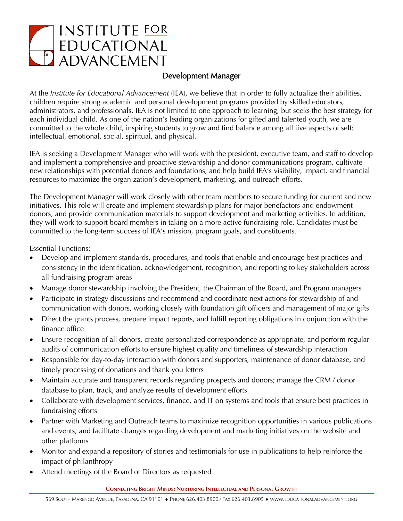

## Development Manager

At the *Institute for Educational Advancement* (IEA), we believe that in order to fully actualize their abilities, children require strong academic and personal development programs provided by skilled educators, administrators, and professionals. IEA is not limited to one approach to learning, but seeks the best strategy for each individual child. As one of the nation's leading organizations for gifted and talented youth, we are committed to the whole child, inspiring students to grow and find balance among all five aspects of self: intellectual, emotional, social, spiritual, and physical.

IEA is seeking a Development Manager who will work with the president, executive team, and staff to develop and implement a comprehensive and proactive stewardship and donor communications program, cultivate new relationships with potential donors and foundations, and help build IEA's visibility, impact, and financial resources to maximize the organization's development, marketing, and outreach efforts.

The Development Manager will work closely with other team members to secure funding for current and new initiatives. This role will create and implement stewardship plans for major benefactors and endowment donors, and provide communication materials to support development and marketing activities. In addition, they will work to support board members in taking on a more active fundraising role. Candidates must be committed to the long-term success of IEA's mission, program goals, and constituents.

Essential Functions:

- Develop and implement standards, procedures, and tools that enable and encourage best practices and consistency in the identification, acknowledgement, recognition, and reporting to key stakeholders across all fundraising program areas
- Manage donor stewardship involving the President, the Chairman of the Board, and Program managers
- Participate in strategy discussions and recommend and coordinate next actions for stewardship of and communication with donors, working closely with foundation gift officers and management of major gifts
- Direct the grants process, prepare impact reports, and fulfill reporting obligations in conjunction with the finance office
- Ensure recognition of all donors, create personalized correspondence as appropriate, and perform regular audits of communication efforts to ensure highest quality and timeliness of stewardship interaction
- Responsible for day-to-day interaction with donors and supporters, maintenance of donor database, and timely processing of donations and thank you letters
- Maintain accurate and transparent records regarding prospects and donors; manage the CRM / donor database to plan, track, and analyze results of development efforts
- Collaborate with development services, finance, and IT on systems and tools that ensure best practices in fundraising efforts
- Partner with Marketing and Outreach teams to maximize recognition opportunities in various publications and events, and facilitate changes regarding development and marketing initiatives on the website and other platforms
- Monitor and expand a repository of stories and testimonials for use in publications to help reinforce the impact of philanthropy
- Attend meetings of the Board of Directors as requested

**CONNECTING BRIGHT MINDS; NURTURING INTELLECTUAL AND PERSONAL GROWTH**